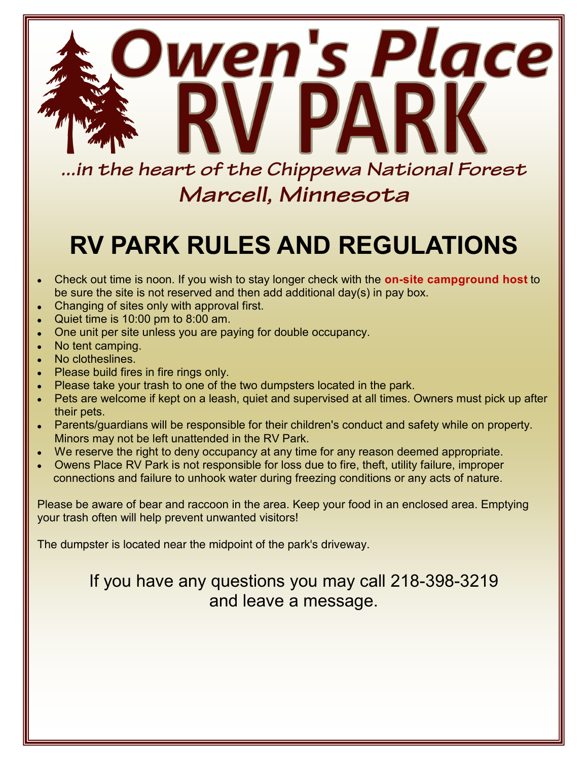

Marcell, Minnesota

# **RV PARK RULES AND REGULATIONS**

- Check out time is noon. If you wish to stay longer check with the **on-site campground host** to be sure the site is not reserved and then add additional day(s) in pay box.
- Changing of sites only with approval first.
- Quiet time is 10:00 pm to 8:00 am.
- One unit per site unless you are paying for double occupancy.
- No tent camping.
- No clotheslines.
- Please build fires in fire rings only.
- Please take your trash to one of the two dumpsters located in the park.
- Pets are welcome if kept on a leash, quiet and supervised at all times. Owners must pick up after their pets.
- Parents/guardians will be responsible for their children's conduct and safety while on property. Minors may not be left unattended in the RV Park.
- We reserve the right to deny occupancy at any time for any reason deemed appropriate.
- Owens Place RV Park is not responsible for loss due to fire, theft, utility failure, improper connections and failure to unhook water during freezing conditions or any acts of nature.

Please be aware of bear and raccoon in the area. Keep your food in an enclosed area. Emptying your trash often will help prevent unwanted visitors!

The dumpster is located near the midpoint of the park's driveway.

## If you have any questions you may call 218-398-3219 and leave a message.